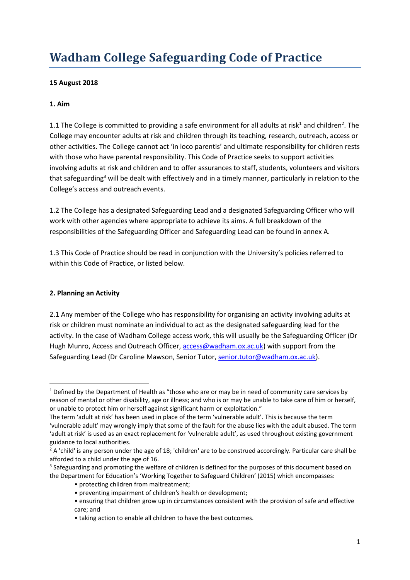# **Wadham College Safeguarding Code of Practice**

#### **15 August 2018**

#### **1. Aim**

1.1 The College is committed to providing a safe environment for all adults at risk<sup>1</sup> and children<sup>2</sup>. The College may encounter adults at risk and children through its teaching, research, outreach, access or other activities. The College cannot act 'in loco parentis' and ultimate responsibility for children rests with those who have parental responsibility. This Code of Practice seeks to support activities involving adults at risk and children and to offer assurances to staff, students, volunteers and visitors that safeguarding<sup>3</sup> will be dealt with effectively and in a timely manner, particularly in relation to the College's access and outreach events.

1.2 The College has a designated Safeguarding Lead and a designated Safeguarding Officer who will work with other agencies where appropriate to achieve its aims. A full breakdown of the responsibilities of the Safeguarding Officer and Safeguarding Lead can be found in annex A.

1.3 This Code of Practice should be read in conjunction with the University's policies referred to within this Code of Practice, or listed below.

#### **2. Planning an Activity**

1

2.1 Any member of the College who has responsibility for organising an activity involving adults at risk or children must nominate an individual to act as the designated safeguarding lead for the activity. In the case of Wadham College access work, this will usually be the Safeguarding Officer (Dr Hugh Munro, Access and Outreach Officer[, access@wadham.ox.ac.uk\)](mailto:access@wadham.ox.ac.uk) with support from the Safeguarding Lead (Dr Caroline Mawson, Senior Tutor, [senior.tutor@wadham.ox.ac.uk\)](mailto:senior.tutor@wadham.ox.ac.uk).

<sup>&</sup>lt;sup>1</sup> Defined by the Department of Health as "those who are or may be in need of community care services by reason of mental or other disability, age or illness; and who is or may be unable to take care of him or herself, or unable to protect him or herself against significant harm or exploitation."

The term 'adult at risk' has been used in place of the term 'vulnerable adult'. This is because the term 'vulnerable adult' may wrongly imply that some of the fault for the abuse lies with the adult abused. The term 'adult at risk' is used as an exact replacement for 'vulnerable adult', as used throughout existing government guidance to local authorities.

 $2A$  'child' is any person under the age of 18; 'children' are to be construed accordingly. Particular care shall be afforded to a child under the age of 16.

<sup>&</sup>lt;sup>3</sup> Safeguarding and promoting the welfare of children is defined for the purposes of this document based on the Department for Education's 'Working Together to Safeguard Children' (2015) which encompasses:

<sup>•</sup> protecting children from maltreatment;

<sup>•</sup> preventing impairment of children's health or development;

<sup>•</sup> ensuring that children grow up in circumstances consistent with the provision of safe and effective care; and

<sup>•</sup> taking action to enable all children to have the best outcomes.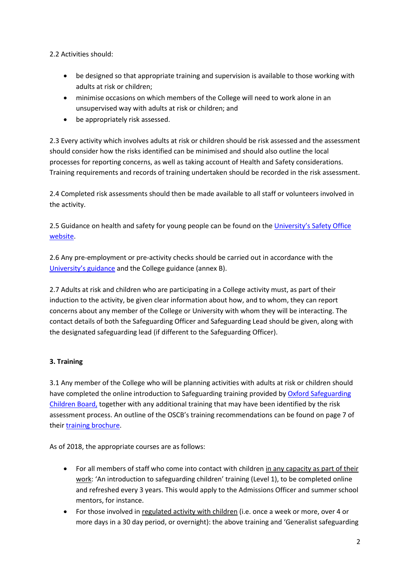2.2 Activities should:

- be designed so that appropriate training and supervision is available to those working with adults at risk or children;
- minimise occasions on which members of the College will need to work alone in an unsupervised way with adults at risk or children; and
- be appropriately risk assessed.

2.3 Every activity which involves adults at risk or children should be risk assessed and the assessment should consider how the risks identified can be minimised and should also outline the local processes for reporting concerns, as well as taking account of Health and Safety considerations. Training requirements and records of training undertaken should be recorded in the risk assessment.

2.4 Completed risk assessments should then be made available to all staff or volunteers involved in the activity.

2.5 Guidance on health and safety for young people can be found on the [University's Safety Office](http://www.admin.ox.ac.uk/safety/policy-statements/upss113/)  [website.](http://www.admin.ox.ac.uk/safety/policy-statements/upss113/)

2.6 Any pre-employment or pre-activity checks should be carried out in accordance with the [University's guidance](http://www.admin.ox.ac.uk/personnel/recruit/preempcheck/) and the College guidance (annex B).

2.7 Adults at risk and children who are participating in a College activity must, as part of their induction to the activity, be given clear information about how, and to whom, they can report concerns about any member of the College or University with whom they will be interacting. The contact details of both the Safeguarding Officer and Safeguarding Lead should be given, along with the designated safeguarding lead (if different to the Safeguarding Officer).

### **3. Training**

3.1 Any member of the College who will be planning activities with adults at risk or children should have completed the online introduction to Safeguarding training provided by Oxford Safeguarding [Children Board,](http://www.oscb.org.uk/booking-training/) together with any additional training that may have been identified by the risk assessment process. An outline of the OSCB's training recommendations can be found on page 7 of their [training brochure.](http://www.oscb.org.uk/wp-content/uploads/Training-Brochure-2017-2018-.pdf)

As of 2018, the appropriate courses are as follows:

- For all members of staff who come into contact with children in any capacity as part of their work: 'An introduction to safeguarding children' training (Level 1), to be completed online and refreshed every 3 years. This would apply to the Admissions Officer and summer school mentors, for instance.
- For those involved in regulated activity with children (i.e. once a week or more, over 4 or more days in a 30 day period, or overnight): the above training and 'Generalist safeguarding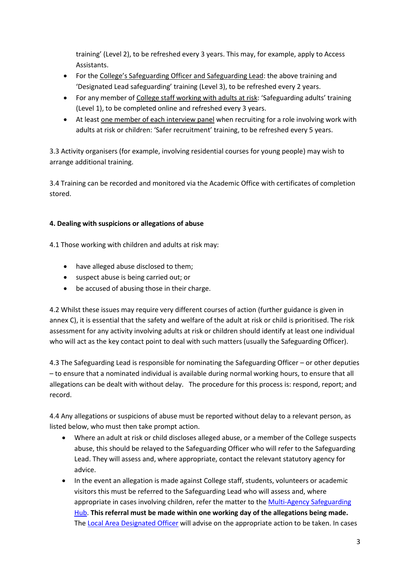training' (Level 2), to be refreshed every 3 years. This may, for example, apply to Access Assistants.

- For the College's Safeguarding Officer and Safeguarding Lead: the above training and 'Designated Lead safeguarding' training (Level 3), to be refreshed every 2 years.
- For any member of College staff working with adults at risk: 'Safeguarding adults' training (Level 1), to be completed online and refreshed every 3 years.
- At least one member of each interview panel when recruiting for a role involving work with adults at risk or children: 'Safer recruitment' training, to be refreshed every 5 years.

3.3 Activity organisers (for example, involving residential courses for young people) may wish to arrange additional training.

3.4 Training can be recorded and monitored via the Academic Office with certificates of completion stored.

## **4. Dealing with suspicions or allegations of abuse**

4.1 Those working with children and adults at risk may:

- have alleged abuse disclosed to them;
- suspect abuse is being carried out; or
- be accused of abusing those in their charge.

4.2 Whilst these issues may require very different courses of action (further guidance is given in annex C), it is essential that the safety and welfare of the adult at risk or child is prioritised. The risk assessment for any activity involving adults at risk or children should identify at least one individual who will act as the key contact point to deal with such matters (usually the Safeguarding Officer).

4.3 The Safeguarding Lead is responsible for nominating the Safeguarding Officer – or other deputies – to ensure that a nominated individual is available during normal working hours, to ensure that all allegations can be dealt with without delay. The procedure for this process is: respond, report; and record.

4.4 Any allegations or suspicions of abuse must be reported without delay to a relevant person, as listed below, who must then take prompt action.

- Where an adult at risk or child discloses alleged abuse, or a member of the College suspects abuse, this should be relayed to the Safeguarding Officer who will refer to the Safeguarding Lead. They will assess and, where appropriate, contact the relevant statutory agency for advice.
- In the event an allegation is made against College staff, students, volunteers or academic visitors this must be referred to the Safeguarding Lead who will assess and, where appropriate in cases involving children, refer the matter to th[e Multi-Agency Safeguarding](https://www.oxfordshire.gov.uk/cms/content/safeguarding-hub)  [Hub.](https://www.oxfordshire.gov.uk/cms/content/safeguarding-hub) **This referral must be made within one working day of the allegations being made.** The [Local Area Designated Officer](http://www.oxfordshire.gov.uk/cms/content/concerns-over-professionals-working-children) will advise on the appropriate action to be taken. In cases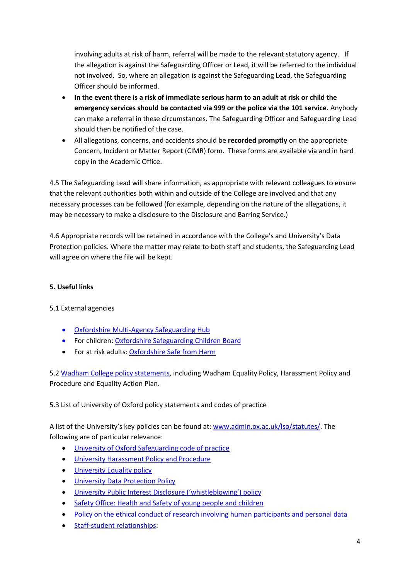involving adults at risk of harm, referral will be made to the relevant statutory agency. If the allegation is against the Safeguarding Officer or Lead, it will be referred to the individual not involved. So, where an allegation is against the Safeguarding Lead, the Safeguarding Officer should be informed.

- **In the event there is a risk of immediate serious harm to an adult at risk or child the emergency services should be contacted via 999 or the police via the 101 service.** Anybody can make a referral in these circumstances. The Safeguarding Officer and Safeguarding Lead should then be notified of the case.
- All allegations, concerns, and accidents should be **recorded promptly** on the appropriate Concern, Incident or Matter Report (CIMR) form. These forms are available via and in hard copy in the Academic Office.

4.5 The Safeguarding Lead will share information, as appropriate with relevant colleagues to ensure that the relevant authorities both within and outside of the College are involved and that any necessary processes can be followed (for example, depending on the nature of the allegations, it may be necessary to make a disclosure to the Disclosure and Barring Service.)

4.6 Appropriate records will be retained in accordance with the College's and University's Data Protection policies. Where the matter may relate to both staff and students, the Safeguarding Lead will agree on where the file will be kept.

#### **5. Useful links**

5.1 External agencies

- [Oxfordshire Multi-Agency Safeguarding Hub](https://www2.oxfordshire.gov.uk/cms/content/multi-agency-safeguarding-hub)
- For children: [Oxfordshire Safeguarding Children Board](http://www.oscb.org.uk/)
- For at risk adults[: Oxfordshire Safe from Harm](http://www.safefromharm.org.uk/)

5.[2 Wadham College policy statements,](https://www.wadham.ox.ac.uk/governance/regulations-and-policy-documents) including Wadham Equality Policy, Harassment Policy and Procedure and Equality Action Plan.

#### 5.3 List of University of Oxford policy statements and codes of practice

A list of the University's key policies can be found at: [www.admin.ox.ac.uk/lso/statutes/.](http://www.admin.ox.ac.uk/lso/statutes/) The following are of particular relevance:

- [University of Oxford Safeguarding code of practice](http://www.admin.ox.ac.uk/media/global/wwwadminoxacuk/localsites/personnel/documents/policiesandcops/Safeguarding_code_of_practice.pdf)
- [University Harassment Policy and Procedure](http://www.admin.ox.ac.uk/eop/harassmentadvice/)
- **•** [University Equality policy](http://www.admin.ox.ac.uk/eop/universityofoxfordequalitypolicy/)
- **[University Data Protection Policy](http://www.admin.ox.ac.uk/councilsec/compliance/dataprotection/)**
- [University Public Interest Disclosure \('whistleblowing'\) policy](http://www.admin.ox.ac.uk/personnel/cops/pid/)
- [Safety Office: Health and Safety of young people and children](http://www.admin.ox.ac.uk/safety/policy-statements/upss113/)
- [Policy on the ethical conduct of research involving human participants and personal data](http://www.admin.ox.ac.uk/curec/about/policy/)
- [Staff-student relationships:](http://www.admin.ox.ac.uk/personnel/during/relationship/)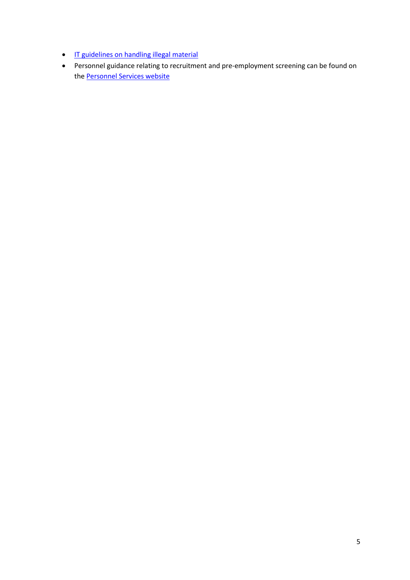- **IF guidelines on handling illegal material**
- Personnel guidance relating to recruitment and pre-employment screening can be found on the **Personnel Services website**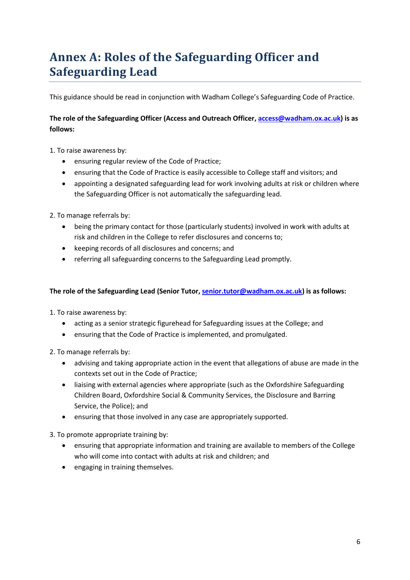## **Annex A: Roles of the Safeguarding Officer and Safeguarding Lead**

This guidance should be read in conjunction with Wadham College's Safeguarding Code of Practice.

**The role of the Safeguarding Officer (Access and Outreach Officer, [access@wadham.ox.ac.uk\)](mailto:access@wadham.ox.ac.uk) is as follows:**

1. To raise awareness by:

- ensuring regular review of the Code of Practice;
- ensuring that the Code of Practice is easily accessible to College staff and visitors; and
- appointing a designated safeguarding lead for work involving adults at risk or children where the Safeguarding Officer is not automatically the safeguarding lead.

2. To manage referrals by:

- being the primary contact for those (particularly students) involved in work with adults at risk and children in the College to refer disclosures and concerns to;
- keeping records of all disclosures and concerns; and
- referring all safeguarding concerns to the Safeguarding Lead promptly.

#### **The role of the Safeguarding Lead (Senior Tutor, [senior.tutor@wadham.ox.ac.uk\)](mailto:senior.tutor@wadham.ox.ac.uk) is as follows:**

1. To raise awareness by:

- acting as a senior strategic figurehead for Safeguarding issues at the College; and
- ensuring that the Code of Practice is implemented, and promulgated.
- 2. To manage referrals by:
	- advising and taking appropriate action in the event that allegations of abuse are made in the contexts set out in the Code of Practice;
	- liaising with external agencies where appropriate (such as the Oxfordshire Safeguarding Children Board, Oxfordshire Social & Community Services, the Disclosure and Barring Service, the Police); and
	- ensuring that those involved in any case are appropriately supported.

3. To promote appropriate training by:

- ensuring that appropriate information and training are available to members of the College who will come into contact with adults at risk and children; and
- engaging in training themselves.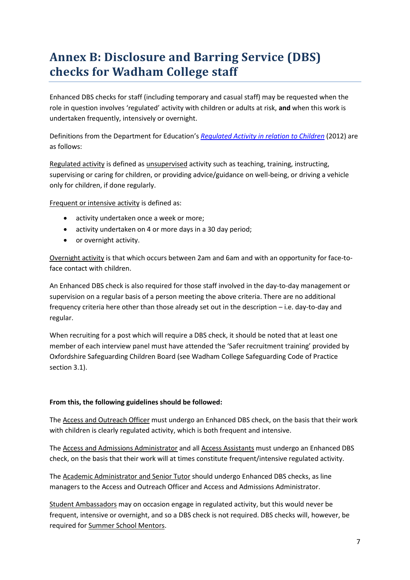## **Annex B: Disclosure and Barring Service (DBS) checks for Wadham College staff**

Enhanced DBS checks for staff (including temporary and casual staff) may be requested when the role in question involves 'regulated' activity with children or adults at risk, **and** when this work is undertaken frequently, intensively or overnight.

Definitions from the Department for Education's *[Regulated Activity in relation to Children](https://www.gov.uk/government/uploads/system/uploads/attachment_data/file/316179/Regulated_Activity_in_relation_to_Children__DfE_.pdf)* (2012) are as follows:

Regulated activity is defined as unsupervised activity such as teaching, training, instructing, supervising or caring for children, or providing advice/guidance on well-being, or driving a vehicle only for children, if done regularly.

Frequent or intensive activity is defined as:

- activity undertaken once a week or more;
- activity undertaken on 4 or more days in a 30 day period;
- or overnight activity.

Overnight activity is that which occurs between 2am and 6am and with an opportunity for face-toface contact with children.

An Enhanced DBS check is also required for those staff involved in the day-to-day management or supervision on a regular basis of a person meeting the above criteria. There are no additional frequency criteria here other than those already set out in the description – i.e. day-to-day and regular.

When recruiting for a post which will require a DBS check, it should be noted that at least one member of each interview panel must have attended the 'Safer recruitment training' provided by Oxfordshire Safeguarding Children Board (see Wadham College Safeguarding Code of Practice section 3.1).

#### **From this, the following guidelines should be followed:**

The Access and Outreach Officer must undergo an Enhanced DBS check, on the basis that their work with children is clearly regulated activity, which is both frequent and intensive.

The Access and Admissions Administrator and all Access Assistants must undergo an Enhanced DBS check, on the basis that their work will at times constitute frequent/intensive regulated activity.

The Academic Administrator and Senior Tutor should undergo Enhanced DBS checks, as line managers to the Access and Outreach Officer and Access and Admissions Administrator.

Student Ambassadors may on occasion engage in regulated activity, but this would never be frequent, intensive or overnight, and so a DBS check is not required. DBS checks will, however, be required for Summer School Mentors.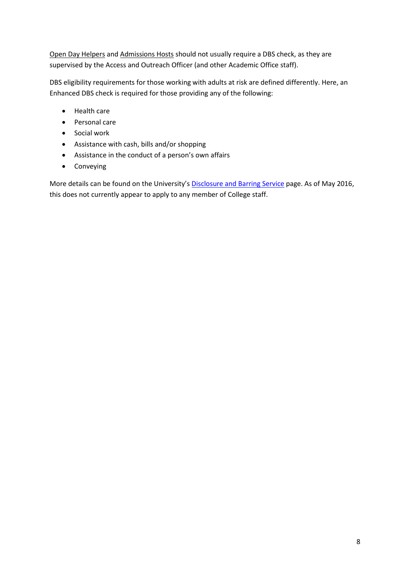Open Day Helpers and Admissions Hosts should not usually require a DBS check, as they are supervised by the Access and Outreach Officer (and other Academic Office staff).

DBS eligibility requirements for those working with adults at risk are defined differently. Here, an Enhanced DBS check is required for those providing any of the following:

- Health care
- Personal care
- **•** Social work
- Assistance with cash, bills and/or shopping
- Assistance in the conduct of a person's own affairs
- Conveying

More details can be found on the University's **[Disclosure and Barring Service](https://www.admin.ox.ac.uk/personnel/recruit/preempcheck/add_pre-emp_checks/dbsscreening/#d.en.39758)** page. As of May 2016, this does not currently appear to apply to any member of College staff.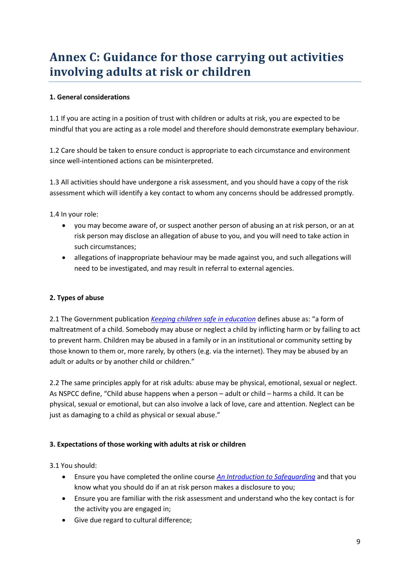## **Annex C: Guidance for those carrying out activities involving adults at risk or children**

### **1. General considerations**

1.1 If you are acting in a position of trust with children or adults at risk, you are expected to be mindful that you are acting as a role model and therefore should demonstrate exemplary behaviour.

1.2 Care should be taken to ensure conduct is appropriate to each circumstance and environment since well-intentioned actions can be misinterpreted.

1.3 All activities should have undergone a risk assessment, and you should have a copy of the risk assessment which will identify a key contact to whom any concerns should be addressed promptly.

1.4 In your role:

- you may become aware of, or suspect another person of abusing an at risk person, or an at risk person may disclose an allegation of abuse to you, and you will need to take action in such circumstances;
- allegations of inappropriate behaviour may be made against you, and such allegations will need to be investigated, and may result in referral to external agencies.

### **2. Types of abuse**

2.1 The Government publication *[Keeping children safe in education](http://www.gov.uk/government/uploads/system/uploads/attachment_data/file/447595/KCSIE_July_2015.pdf)* defines abuse as: "a form of maltreatment of a child. Somebody may abuse or neglect a child by inflicting harm or by failing to act to prevent harm. Children may be abused in a family or in an institutional or community setting by those known to them or, more rarely, by others (e.g. via the internet). They may be abused by an adult or adults or by another child or children."

2.2 The same principles apply for at risk adults: abuse may be physical, emotional, sexual or neglect. As NSPCC define, "Child abuse happens when a person – adult or child – harms a child. It can be physical, sexual or emotional, but can also involve a lack of love, care and attention. Neglect can be just as damaging to a child as physical or sexual abuse."

#### **3. Expectations of those working with adults at risk or children**

3.1 You should:

- Ensure you have completed the online course *[An Introduction to Safeguarding](http://www.oscb.org.uk/training/)* and that you know what you should do if an at risk person makes a disclosure to you;
- Ensure you are familiar with the risk assessment and understand who the key contact is for the activity you are engaged in;
- Give due regard to cultural difference;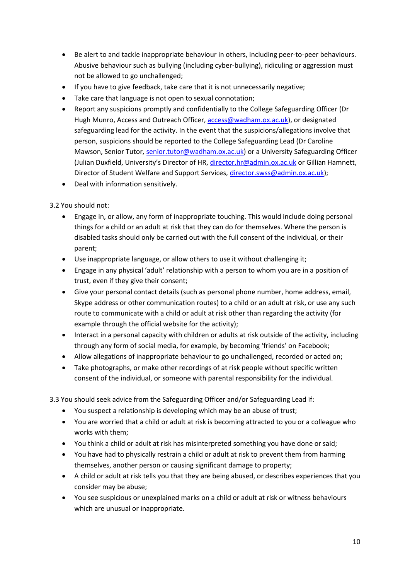- Be alert to and tackle inappropriate behaviour in others, including peer-to-peer behaviours. Abusive behaviour such as bullying (including cyber-bullying), ridiculing or aggression must not be allowed to go unchallenged;
- If you have to give feedback, take care that it is not unnecessarily negative;
- Take care that language is not open to sexual connotation;
- Report any suspicions promptly and confidentially to the College Safeguarding Officer (Dr Hugh Munro, Access and Outreach Officer[, access@wadham.ox.ac.uk\)](mailto:access@wadham.ox.ac.uk), or designated safeguarding lead for the activity. In the event that the suspicions/allegations involve that person, suspicions should be reported to the College Safeguarding Lead (Dr Caroline Mawson, Senior Tutor, [senior.tutor@wadham.ox.ac.uk\)](mailto:senior.tutor@wadham.ox.ac.uk) or a University Safeguarding Officer (Julian Duxfield, University's Director of HR, [director.hr@admin.ox.ac.uk](mailto:director.hr@admin.ox.ac.uk) or Gillian Hamnett, Director of Student Welfare and Support Services[, director.swss@admin.ox.ac.uk\)](mailto:director.swss@admin.ox.ac.uk);
- Deal with information sensitively.

### 3.2 You should not:

- Engage in, or allow, any form of inappropriate touching. This would include doing personal things for a child or an adult at risk that they can do for themselves. Where the person is disabled tasks should only be carried out with the full consent of the individual, or their parent;
- Use inappropriate language, or allow others to use it without challenging it;
- Engage in any physical 'adult' relationship with a person to whom you are in a position of trust, even if they give their consent;
- Give your personal contact details (such as personal phone number, home address, email, Skype address or other communication routes) to a child or an adult at risk, or use any such route to communicate with a child or adult at risk other than regarding the activity (for example through the official website for the activity);
- Interact in a personal capacity with children or adults at risk outside of the activity, including through any form of social media, for example, by becoming 'friends' on Facebook;
- Allow allegations of inappropriate behaviour to go unchallenged, recorded or acted on;
- Take photographs, or make other recordings of at risk people without specific written consent of the individual, or someone with parental responsibility for the individual.

3.3 You should seek advice from the Safeguarding Officer and/or Safeguarding Lead if:

- You suspect a relationship is developing which may be an abuse of trust;
- You are worried that a child or adult at risk is becoming attracted to you or a colleague who works with them;
- You think a child or adult at risk has misinterpreted something you have done or said;
- You have had to physically restrain a child or adult at risk to prevent them from harming themselves, another person or causing significant damage to property;
- A child or adult at risk tells you that they are being abused, or describes experiences that you consider may be abuse;
- You see suspicious or unexplained marks on a child or adult at risk or witness behaviours which are unusual or inappropriate.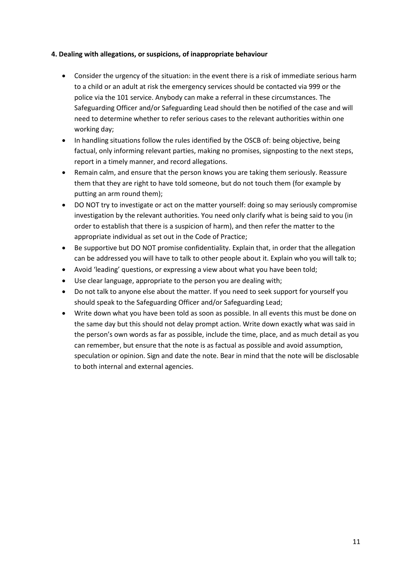#### **4. Dealing with allegations, or suspicions, of inappropriate behaviour**

- Consider the urgency of the situation: in the event there is a risk of immediate serious harm to a child or an adult at risk the emergency services should be contacted via 999 or the police via the 101 service. Anybody can make a referral in these circumstances. The Safeguarding Officer and/or Safeguarding Lead should then be notified of the case and will need to determine whether to refer serious cases to the relevant authorities within one working day;
- In handling situations follow the rules identified by the OSCB of: being objective, being factual, only informing relevant parties, making no promises, signposting to the next steps, report in a timely manner, and record allegations.
- Remain calm, and ensure that the person knows you are taking them seriously. Reassure them that they are right to have told someone, but do not touch them (for example by putting an arm round them);
- DO NOT try to investigate or act on the matter yourself: doing so may seriously compromise investigation by the relevant authorities. You need only clarify what is being said to you (in order to establish that there is a suspicion of harm), and then refer the matter to the appropriate individual as set out in the Code of Practice;
- Be supportive but DO NOT promise confidentiality. Explain that, in order that the allegation can be addressed you will have to talk to other people about it. Explain who you will talk to;
- Avoid 'leading' questions, or expressing a view about what you have been told;
- Use clear language, appropriate to the person you are dealing with;
- Do not talk to anyone else about the matter. If you need to seek support for yourself you should speak to the Safeguarding Officer and/or Safeguarding Lead;
- Write down what you have been told as soon as possible. In all events this must be done on the same day but this should not delay prompt action. Write down exactly what was said in the person's own words as far as possible, include the time, place, and as much detail as you can remember, but ensure that the note is as factual as possible and avoid assumption, speculation or opinion. Sign and date the note. Bear in mind that the note will be disclosable to both internal and external agencies.